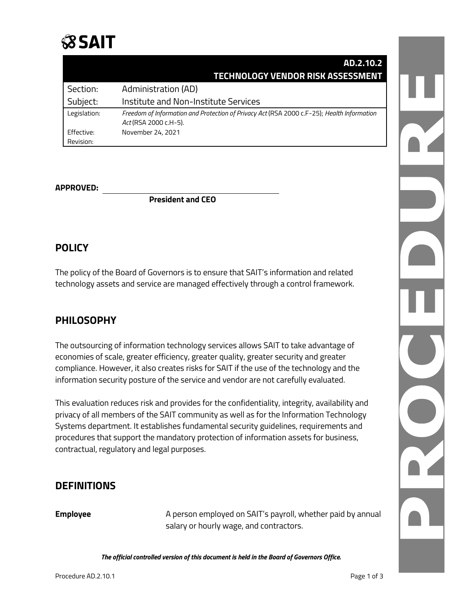# **SSAIT**

|              | AD.2.10.2                                                                                                           |
|--------------|---------------------------------------------------------------------------------------------------------------------|
|              | TECHNOLOGY VENDOR RISK ASSESSMENT                                                                                   |
| Section:     | Administration (AD)                                                                                                 |
| Subject:     | Institute and Non-Institute Services                                                                                |
| Legislation: | Freedom of Information and Protection of Privacy Act (RSA 2000 c.F-25); Health Information<br>Act (RSA 2000 c.H-5). |
| Effective:   | November 24, 2021                                                                                                   |
| Revision:    |                                                                                                                     |

#### **APPROVED:**

**President and CEO**

# **POLICY**

The policy of the Board of Governors is to ensure that SAIT's information and related technology assets and service are managed effectively through a control framework.

# **PHILOSOPHY**

The outsourcing of information technology services allows SAIT to take advantage of economies of scale, greater efficiency, greater quality, greater security and greater compliance. However, it also creates risks for SAIT if the use of the technology and the information security posture of the service and vendor are not carefully evaluated.

This evaluation reduces risk and provides for the confidentiality, integrity, availability and privacy of all members of the SAIT community as well as for the Information Technology Systems department. It establishes fundamental security guidelines, requirements and procedures that support the mandatory protection of information assets for business, contractual, regulatory and legal purposes.

### **DEFINITIONS**

**Employee A** person employed on SAIT's payroll, whether paid by annual salary or hourly wage, and contractors.

*The official controlled version of this document is held in the Board of Governors Office.*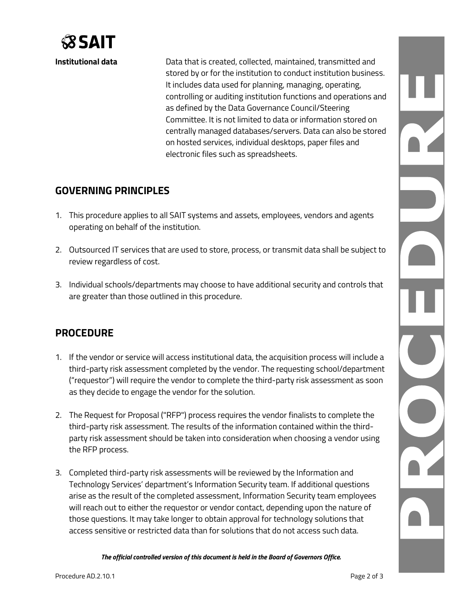

**Institutional data Data that is created, collected, maintained, transmitted and** stored by or for the institution to conduct institution business. It includes data used for planning, managing, operating, controlling or auditing institution functions and operations and as defined by the Data Governance Council/Steering Committee. It is not limited to data or information stored on centrally managed databases/servers. Data can also be stored on hosted services, individual desktops, paper files and electronic files such as spreadsheets.

# **GOVERNING PRINCIPLES**

- 1. This procedure applies to all SAIT systems and assets, employees, vendors and agents operating on behalf of the institution.
- 2. Outsourced IT services that are used to store, process, or transmit data shall be subject to review regardless of cost.
- 3. Individual schools/departments may choose to have additional security and controls that are greater than those outlined in this procedure.

# **PROCEDURE**

- 1. If the vendor or service will access institutional data, the acquisition process will include a third-party risk assessment completed by the vendor. The requesting school/department ("requestor") will require the vendor to complete the third-party risk assessment as soon as they decide to engage the vendor for the solution.
- 2. The Request for Proposal ("RFP") process requires the vendor finalists to complete the third-party risk assessment. The results of the information contained within the thirdparty risk assessment should be taken into consideration when choosing a vendor using the RFP process.
- 3. Completed third-party risk assessments will be reviewed by the Information and Technology Services' department's Information Security team. If additional questions arise as the result of the completed assessment, Information Security team employees will reach out to either the requestor or vendor contact, depending upon the nature of those questions. It may take longer to obtain approval for technology solutions that access sensitive or restricted data than for solutions that do not access such data.

*The official controlled version of this document is held in the Board of Governors Office.*